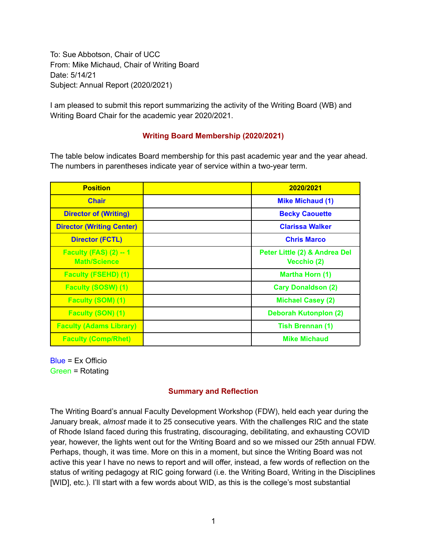To: Sue Abbotson, Chair of UCC From: Mike Michaud, Chair of Writing Board Date: 5/14/21 Subject: Annual Report (2020/2021)

I am pleased to submit this report summarizing the activity of the Writing Board (WB) and Writing Board Chair for the academic year 2020/2021.

## **Writing Board Membership (2020/2021)**

The table below indicates Board membership for this past academic year and the year ahead. The numbers in parentheses indicate year of service within a two-year term.

| <b>Position</b>                                      | 2020/2021                                    |
|------------------------------------------------------|----------------------------------------------|
| <b>Chair</b>                                         | <b>Mike Michaud (1)</b>                      |
| <b>Director of (Writing)</b>                         | <b>Becky Caouette</b>                        |
| <b>Director (Writing Center)</b>                     | <b>Clarissa Walker</b>                       |
| <b>Director (FCTL)</b>                               | <b>Chris Marco</b>                           |
| <b>Faculty (FAS) (2) -- 1</b><br><b>Math/Science</b> | Peter Little (2) & Andrea Del<br>Vecchio (2) |
| <b>Faculty (FSEHD) (1)</b>                           | Martha Horn (1)                              |
| <b>Faculty (SOSW) (1)</b>                            | <b>Cary Donaldson (2)</b>                    |
| <b>Faculty (SOM) (1)</b>                             | <b>Michael Casey (2)</b>                     |
| Faculty (SON) (1)                                    | <b>Deborah Kutonplon (2)</b>                 |
| <b>Faculty (Adams Library)</b>                       | <b>Tish Brennan (1)</b>                      |
| <b>Faculty (Comp/Rhet)</b>                           | <b>Mike Michaud</b>                          |

Blue = Ex Officio Green = Rotating

## **Summary and Reflection**

The Writing Board's annual Faculty Development Workshop (FDW), held each year during the January break, *almost* made it to 25 consecutive years. With the challenges RIC and the state of Rhode Island faced during this frustrating, discouraging, debilitating, and exhausting COVID year, however, the lights went out for the Writing Board and so we missed our 25th annual FDW. Perhaps, though, it was time. More on this in a moment, but since the Writing Board was not active this year I have no news to report and will offer, instead, a few words of reflection on the status of writing pedagogy at RIC going forward (i.e. the Writing Board, Writing in the Disciplines [WID], etc.). I'll start with a few words about WID, as this is the college's most substantial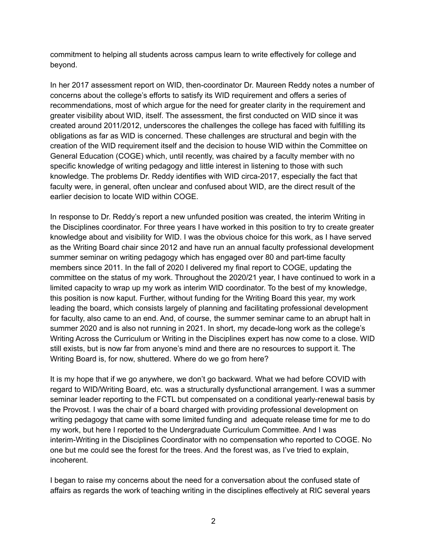commitment to helping all students across campus learn to write effectively for college and beyond.

In her 2017 assessment report on WID, then-coordinator Dr. Maureen Reddy notes a number of concerns about the college's efforts to satisfy its WID requirement and offers a series of recommendations, most of which argue for the need for greater clarity in the requirement and greater visibility about WID, itself. The assessment, the first conducted on WID since it was created around 2011/2012, underscores the challenges the college has faced with fulfilling its obligations as far as WID is concerned. These challenges are structural and begin with the creation of the WID requirement itself and the decision to house WID within the Committee on General Education (COGE) which, until recently, was chaired by a faculty member with no specific knowledge of writing pedagogy and little interest in listening to those with such knowledge. The problems Dr. Reddy identifies with WID circa-2017, especially the fact that faculty were, in general, often unclear and confused about WID, are the direct result of the earlier decision to locate WID within COGE.

In response to Dr. Reddy's report a new unfunded position was created, the interim Writing in the Disciplines coordinator. For three years I have worked in this position to try to create greater knowledge about and visibility for WID. I was the obvious choice for this work, as I have served as the Writing Board chair since 2012 and have run an annual faculty professional development summer seminar on writing pedagogy which has engaged over 80 and part-time faculty members since 2011. In the fall of 2020 I delivered my final report to COGE, updating the committee on the status of my work. Throughout the 2020/21 year, I have continued to work in a limited capacity to wrap up my work as interim WID coordinator. To the best of my knowledge, this position is now kaput. Further, without funding for the Writing Board this year, my work leading the board, which consists largely of planning and facilitating professional development for faculty, also came to an end. And, of course, the summer seminar came to an abrupt halt in summer 2020 and is also not running in 2021. In short, my decade-long work as the college's Writing Across the Curriculum or Writing in the Disciplines expert has now come to a close. WID still exists, but is now far from anyone's mind and there are no resources to support it. The Writing Board is, for now, shuttered. Where do we go from here?

It is my hope that if we go anywhere, we don't go backward. What we had before COVID with regard to WID/Writing Board, etc. was a structurally dysfunctional arrangement. I was a summer seminar leader reporting to the FCTL but compensated on a conditional yearly-renewal basis by the Provost. I was the chair of a board charged with providing professional development on writing pedagogy that came with some limited funding and adequate release time for me to do my work, but here I reported to the Undergraduate Curriculum Committee. And I was interim-Writing in the Disciplines Coordinator with no compensation who reported to COGE. No one but me could see the forest for the trees. And the forest was, as I've tried to explain, incoherent.

I began to raise my concerns about the need for a conversation about the confused state of affairs as regards the work of teaching writing in the disciplines effectively at RIC several years